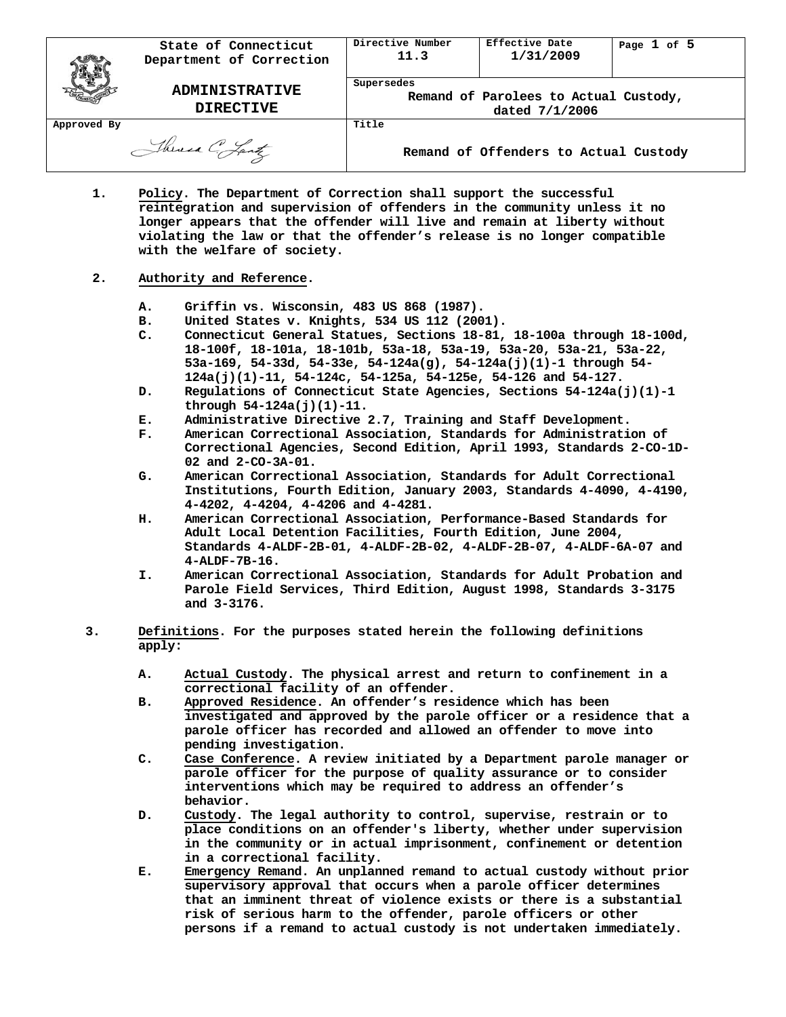|             | State of Connecticut<br>Department of Correction | Directive Number<br>11.3                                              | Effective Date<br>1/31/2009           | Page 1 of 5 |
|-------------|--------------------------------------------------|-----------------------------------------------------------------------|---------------------------------------|-------------|
|             | <b>ADMINISTRATIVE</b><br><b>DIRECTIVE</b>        | Supersedes<br>Remand of Parolees to Actual Custody,<br>dated 7/1/2006 |                                       |             |
| Approved By |                                                  | Title                                                                 |                                       |             |
|             | Theresa C. Lantz                                 |                                                                       | Remand of Offenders to Actual Custody |             |

**1. Policy. The Department of Correction shall support the successful reintegration and supervision of offenders in the community unless it no longer appears that the offender will live and remain at liberty without violating the law or that the offender's release is no longer compatible with the welfare of society.**

# **2. Authority and Reference.**

- **A. Griffin vs. Wisconsin, 483 US 868 (1987).**
- **B. United States v. Knights, 534 US 112 (2001).**
- **C. Connecticut General Statues, Sections 18-81, 18-100a through 18-100d, 18-100f, 18-101a, 18-101b, 53a-18, 53a-19, 53a-20, 53a-21, 53a-22, 53a-169, 54-33d, 54-33e, 54-124a(g), 54-124a(j)(1)-1 through 54- 124a(j)(1)-11, 54-124c, 54-125a, 54-125e, 54-126 and 54-127.**
- **D. Regulations of Connecticut State Agencies, Sections 54-124a(j)(1)-1 through 54-124a(j)(1)-11.**
- **E. Administrative Directive 2.7, Training and Staff Development.**
- **F. American Correctional Association, Standards for Administration of Correctional Agencies, Second Edition, April 1993, Standards 2-CO-1D-02 and 2-CO-3A-01.**
- **G. American Correctional Association, Standards for Adult Correctional Institutions, Fourth Edition, January 2003, Standards 4-4090, 4-4190, 4-4202, 4-4204, 4-4206 and 4-4281.**
- **H. American Correctional Association, Performance-Based Standards for Adult Local Detention Facilities, Fourth Edition, June 2004, Standards 4-ALDF-2B-01, 4-ALDF-2B-02, 4-ALDF-2B-07, 4-ALDF-6A-07 and 4-ALDF-7B-16.**
- **I. American Correctional Association, Standards for Adult Probation and Parole Field Services, Third Edition, August 1998, Standards 3-3175 and 3-3176.**
- **3. Definitions. For the purposes stated herein the following definitions apply:**
	- **A. Actual Custody. The physical arrest and return to confinement in a correctional facility of an offender.**
	- **B. Approved Residence. An offender's residence which has been investigated and approved by the parole officer or a residence that a parole officer has recorded and allowed an offender to move into pending investigation.**
	- **C. Case Conference. A review initiated by a Department parole manager or parole officer for the purpose of quality assurance or to consider interventions which may be required to address an offender's behavior.**
	- **D. Custody. The legal authority to control, supervise, restrain or to place conditions on an offender's liberty, whether under supervision in the community or in actual imprisonment, confinement or detention in a correctional facility.**
	- **E. Emergency Remand. An unplanned remand to actual custody without prior supervisory approval that occurs when a parole officer determines that an imminent threat of violence exists or there is a substantial risk of serious harm to the offender, parole officers or other persons if a remand to actual custody is not undertaken immediately.**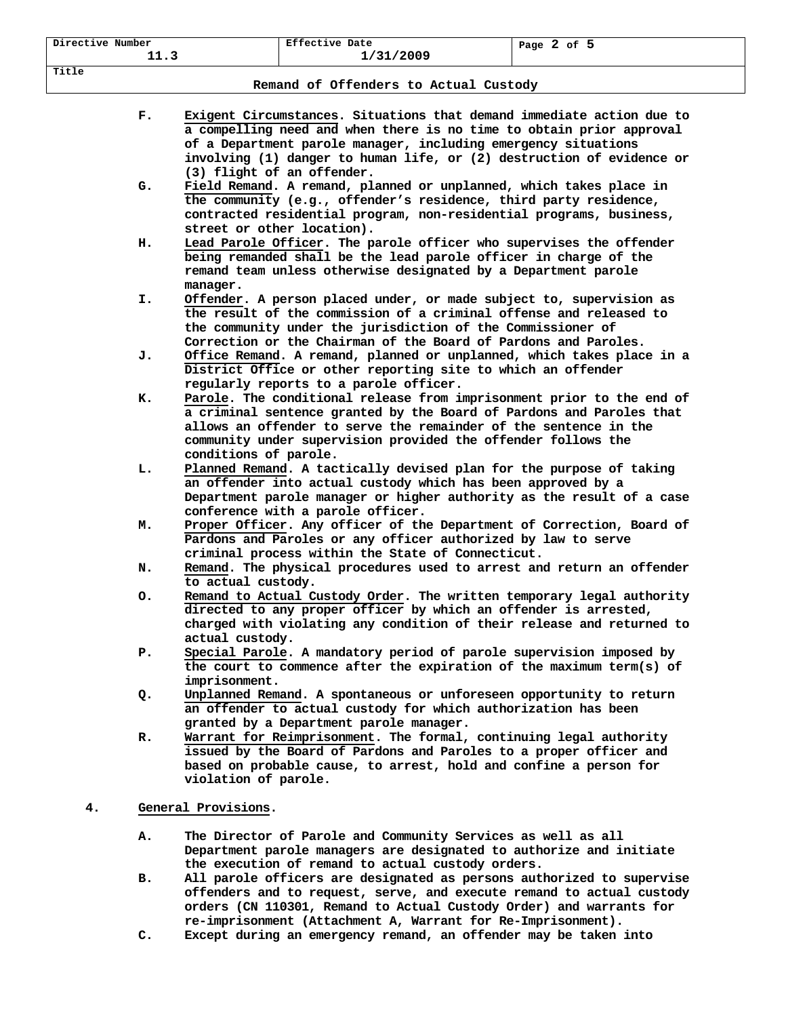**Title**

**Remand of Offenders to Actual Custody**

|    | F. | Exigent Circumstances. Situations that demand immediate action due to<br>a compelling need and when there is no time to obtain prior approval                                                                                                                                                               |
|----|----|-------------------------------------------------------------------------------------------------------------------------------------------------------------------------------------------------------------------------------------------------------------------------------------------------------------|
|    |    | of a Department parole manager, including emergency situations<br>involving (1) danger to human life, or (2) destruction of evidence or                                                                                                                                                                     |
|    |    | (3) flight of an offender.                                                                                                                                                                                                                                                                                  |
|    | G. | Field Remand. A remand, planned or unplanned, which takes place in<br>the community (e.g., offender's residence, third party residence,<br>contracted residential program, non-residential programs, business,                                                                                              |
|    | н. | street or other location).<br>Lead Parole Officer. The parole officer who supervises the offender<br>being remanded shall be the lead parole officer in charge of the                                                                                                                                       |
|    |    | remand team unless otherwise designated by a Department parole<br>manager.                                                                                                                                                                                                                                  |
|    | I. | Offender. A person placed under, or made subject to, supervision as<br>the result of the commission of a criminal offense and released to<br>the community under the jurisdiction of the Commissioner of<br>Correction or the Chairman of the Board of Pardons and Paroles.                                 |
|    | J. | Office Remand. A remand, planned or unplanned, which takes place in a<br>District Office or other reporting site to which an offender<br>regularly reports to a parole officer.                                                                                                                             |
|    | к. | Parole. The conditional release from imprisonment prior to the end of<br>a criminal sentence granted by the Board of Pardons and Paroles that<br>allows an offender to serve the remainder of the sentence in the<br>community under supervision provided the offender follows the<br>conditions of parole. |
|    | L. | Planned Remand. A tactically devised plan for the purpose of taking<br>an offender into actual custody which has been approved by a<br>Department parole manager or higher authority as the result of a case<br>conference with a parole officer.                                                           |
|    | м. | Proper Officer. Any officer of the Department of Correction, Board of<br>Pardons and Paroles or any officer authorized by law to serve<br>criminal process within the State of Connecticut.                                                                                                                 |
|    | N. | Remand. The physical procedures used to arrest and return an offender<br>to actual custody.                                                                                                                                                                                                                 |
|    | о. | Remand to Actual Custody Order. The written temporary legal authority<br>directed to any proper officer by which an offender is arrested,<br>charged with violating any condition of their release and returned to<br>actual custody.                                                                       |
|    | Р. | Special Parole. A mandatory period of parole supervision imposed by<br>the court to commence after the expiration of the maximum term(s) of<br>imprisonment.                                                                                                                                                |
|    | Q. | Unplanned Remand. A spontaneous or unforeseen opportunity to return<br>an offender to actual custody for which authorization has been<br>granted by a Department parole manager.                                                                                                                            |
|    | R. | Warrant for Reimprisonment. The formal, continuing legal authority<br>issued by the Board of Pardons and Paroles to a proper officer and<br>based on probable cause, to arrest, hold and confine a person for<br>violation of parole.                                                                       |
| 4. |    | General Provisions.                                                                                                                                                                                                                                                                                         |
|    |    |                                                                                                                                                                                                                                                                                                             |
|    | А. | The Director of Parole and Community Services as well as all<br>Department parole managers are designated to authorize and initiate<br>the execution of remand to actual custody orders.                                                                                                                    |
|    | в. | All parole officers are designated as persons authorized to supervise<br>offenders and to request, serve, and execute remand to actual custody<br>orders (CN 110301, Remand to Actual Custody Order) and warrants for                                                                                       |
|    |    | re-imprisonment (Attachment A, Warrant for Re-Imprisonment).                                                                                                                                                                                                                                                |

**C. Except during an emergency remand, an offender may be taken into**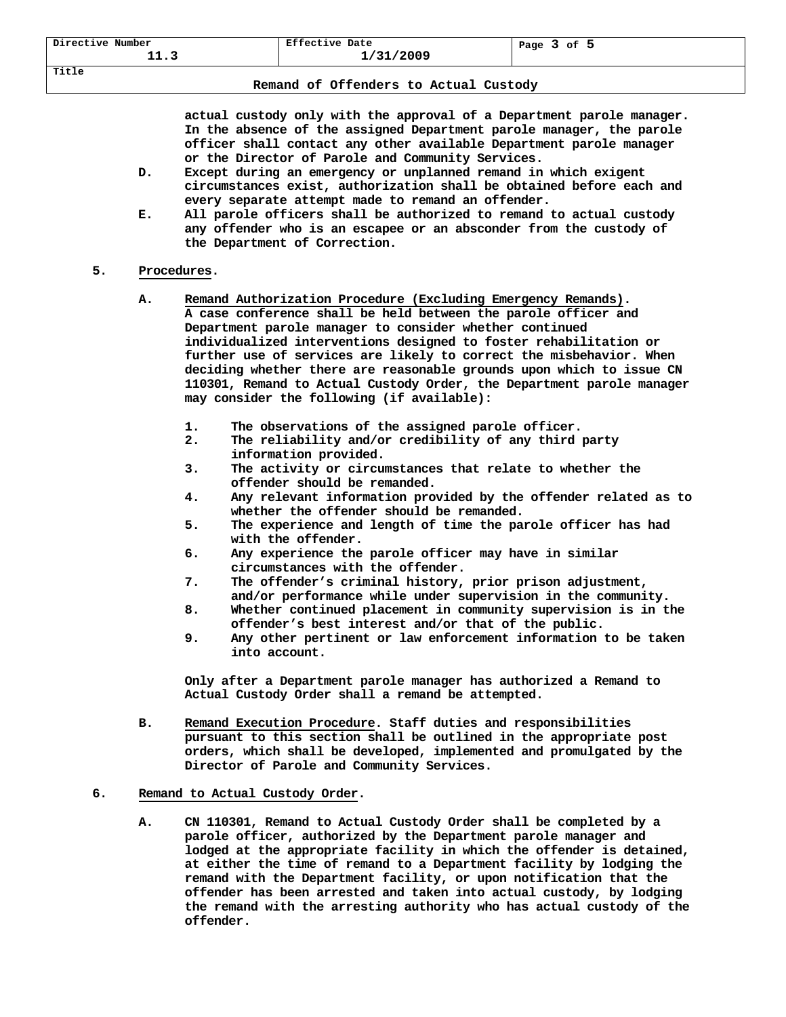**Title**

**actual custody only with the approval of a Department parole manager. In the absence of the assigned Department parole manager, the parole officer shall contact any other available Department parole manager or the Director of Parole and Community Services.**

- **D. Except during an emergency or unplanned remand in which exigent circumstances exist, authorization shall be obtained before each and every separate attempt made to remand an offender.**
- **E. All parole officers shall be authorized to remand to actual custody any offender who is an escapee or an absconder from the custody of the Department of Correction.**

# **5. Procedures.**

- **A. Remand Authorization Procedure (Excluding Emergency Remands). A case conference shall be held between the parole officer and Department parole manager to consider whether continued individualized interventions designed to foster rehabilitation or further use of services are likely to correct the misbehavior. When deciding whether there are reasonable grounds upon which to issue CN 110301, Remand to Actual Custody Order, the Department parole manager may consider the following (if available):**
	- **1. The observations of the assigned parole officer.**
	- **2. The reliability and/or credibility of any third party information provided.**
	- **3. The activity or circumstances that relate to whether the offender should be remanded.**
	- **4. Any relevant information provided by the offender related as to whether the offender should be remanded.**
	- **5. The experience and length of time the parole officer has had with the offender.**
	- **6. Any experience the parole officer may have in similar circumstances with the offender.**
	- **7. The offender's criminal history, prior prison adjustment, and/or performance while under supervision in the community.**
	- **8. Whether continued placement in community supervision is in the offender's best interest and/or that of the public.**
	- **9. Any other pertinent or law enforcement information to be taken into account.**

**Only after a Department parole manager has authorized a Remand to Actual Custody Order shall a remand be attempted.**

**B. Remand Execution Procedure. Staff duties and responsibilities pursuant to this section shall be outlined in the appropriate post orders, which shall be developed, implemented and promulgated by the Director of Parole and Community Services.**

# **6. Remand to Actual Custody Order.**

**A. CN 110301, Remand to Actual Custody Order shall be completed by a parole officer, authorized by the Department parole manager and lodged at the appropriate facility in which the offender is detained, at either the time of remand to a Department facility by lodging the remand with the Department facility, or upon notification that the offender has been arrested and taken into actual custody, by lodging the remand with the arresting authority who has actual custody of the offender.**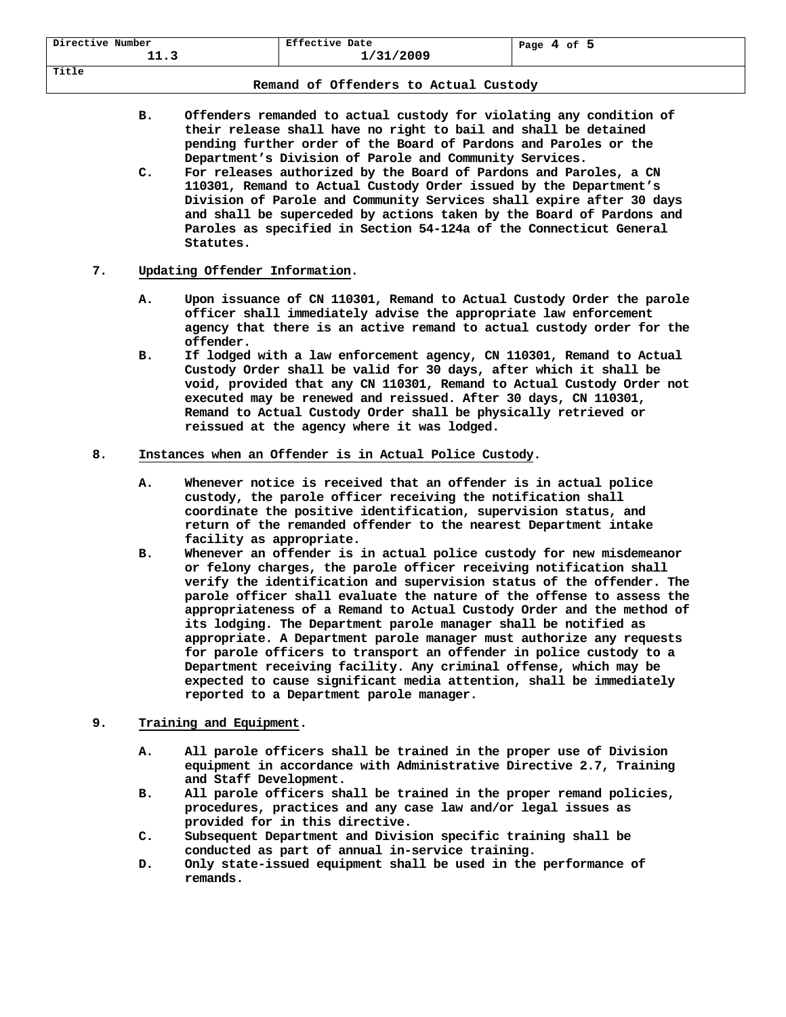| Directive Number | Effective Date | 4 of 5 |
|------------------|----------------|--------|
| <b>++.</b>       | 1/31/2009      | Page   |
| Title            |                |        |

### **Remand of Offenders to Actual Custody**

- **B. Offenders remanded to actual custody for violating any condition of their release shall have no right to bail and shall be detained pending further order of the Board of Pardons and Paroles or the Department's Division of Parole and Community Services.**
- **C. For releases authorized by the Board of Pardons and Paroles, a CN 110301, Remand to Actual Custody Order issued by the Department's Division of Parole and Community Services shall expire after 30 days and shall be superceded by actions taken by the Board of Pardons and Paroles as specified in Section 54-124a of the Connecticut General Statutes.**

# **7. Updating Offender Information.**

- **A. Upon issuance of CN 110301, Remand to Actual Custody Order the parole officer shall immediately advise the appropriate law enforcement agency that there is an active remand to actual custody order for the offender.**
- **B. If lodged with a law enforcement agency, CN 110301, Remand to Actual Custody Order shall be valid for 30 days, after which it shall be void, provided that any CN 110301, Remand to Actual Custody Order not executed may be renewed and reissued. After 30 days, CN 110301, Remand to Actual Custody Order shall be physically retrieved or reissued at the agency where it was lodged.**

# **8. Instances when an Offender is in Actual Police Custody.**

- **A. Whenever notice is received that an offender is in actual police custody, the parole officer receiving the notification shall coordinate the positive identification, supervision status, and return of the remanded offender to the nearest Department intake facility as appropriate.**
- **B. Whenever an offender is in actual police custody for new misdemeanor or felony charges, the parole officer receiving notification shall verify the identification and supervision status of the offender. The parole officer shall evaluate the nature of the offense to assess the appropriateness of a Remand to Actual Custody Order and the method of its lodging. The Department parole manager shall be notified as appropriate. A Department parole manager must authorize any requests for parole officers to transport an offender in police custody to a Department receiving facility. Any criminal offense, which may be expected to cause significant media attention, shall be immediately reported to a Department parole manager.**
- **9. Training and Equipment.**
	- **A. All parole officers shall be trained in the proper use of Division equipment in accordance with Administrative Directive 2.7, Training and Staff Development.**
	- **B. All parole officers shall be trained in the proper remand policies, procedures, practices and any case law and/or legal issues as provided for in this directive.**
	- **C. Subsequent Department and Division specific training shall be conducted as part of annual in-service training.**
	- **D. Only state-issued equipment shall be used in the performance of remands.**